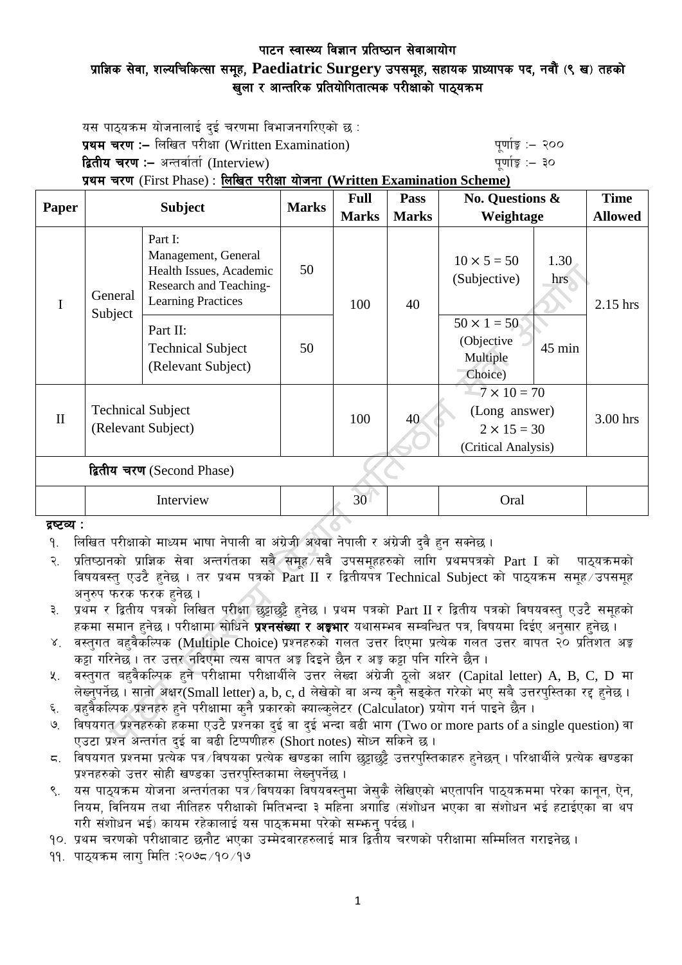# पाटन स्वास्थ्य विज्ञान प्रतिष्ठान सेवाआयोग प्राज्ञिक सेवा, शल्यचिकित्सा समूह, Paediatric Surgery उपसमूह, सहायक प्राध्यापक पद, नवौं (९ ख) तहको खुला र आन्तरिक प्रतियोगितात्मक परीक्षाको पाठ्यक्रम

यस पाठ्यक्रम योजनालाई दुई चरणमा विभाजनगरिएको छ $\,$ : प्रथम चरण :- लिखित परीक्षा (Written Examination)  $\frac{1}{2}$  and  $\frac{1}{2}$  and  $\frac{1}{2}$  and  $\frac{1}{2}$ द्वितीय चरण :– अन्तर्वार्ता (Interview) kan have the set of the set of the set of  $\frac{1}{2}$ 

प्रथम चरण (First Phase) : लिखित परीक्षा योजना (Written Examination Scheme)

| Paper                      | <b>Subject</b>                                 |                                                                                                                  | <b>Marks</b> | <b>Full</b>     | Pass         | <b>No. Questions &amp;</b>                                                        | <b>Time</b>    |
|----------------------------|------------------------------------------------|------------------------------------------------------------------------------------------------------------------|--------------|-----------------|--------------|-----------------------------------------------------------------------------------|----------------|
|                            |                                                |                                                                                                                  |              | <b>Marks</b>    | <b>Marks</b> | Weightage                                                                         | <b>Allowed</b> |
| I                          | General<br>Subject                             | Part I:<br>Management, General<br>Health Issues, Academic<br>Research and Teaching-<br><b>Learning Practices</b> | 50           | 100             | 40           | $10 \times 5 = 50$<br>1.30<br>(Subjective)<br>hrs                                 | 2.15 hrs       |
|                            |                                                | Part II:<br><b>Technical Subject</b><br>(Relevant Subject)                                                       | 50           |                 |              | $50 \times 1 = 50$<br>(Objective<br>45 min<br>Multiple<br>Choice)                 |                |
| $\mathbf{I}$               | <b>Technical Subject</b><br>(Relevant Subject) |                                                                                                                  |              | 100             | 40           | $-7 \times 10 = 70$<br>(Long answer)<br>$2 \times 15 = 30$<br>(Critical Analysis) | 3.00 hrs       |
| द्वितीय चरण (Second Phase) |                                                |                                                                                                                  |              |                 |              |                                                                                   |                |
|                            | Interview                                      |                                                                                                                  |              | 30 <sup>1</sup> |              | Oral                                                                              |                |
| द्रष्टव्य :                |                                                |                                                                                                                  |              |                 |              |                                                                                   |                |

द्रष्टव्य :

- २. प्रतिष्ठानको प्राज्ञिक सेवा अन्तर्गतका सवै समह सवै उपसमहहरुको लागि प्रथमपत्रको Part I को पाठयक्रमको विषयवस्तु एउटै हुनेछ । तर प्रथम पत्रको Part II र द्वितीयपत्र Technical Subject को पाठ्यक्रम समुह उपसमुह अनुरुप फरक फरक हुनेछ ।
- ३. प्रथम र द्वितीय पत्रको लिखित परीक्षा छट्टाछट्टै हुनेछ । प्रथम पत्रको Part II र द्वितीय पत्रको विषयवस्तु एउटै समूहको हकमा समान हुनेछ । परीक्षामा सोधिने **प्रश्नसंख्या र अङ्गभार** यथासम्भव सम्बन्धित पत्र, विषयमा दिईए अनुसार हुनेछ ।
- ४. वस्तुगत बहुवैकस्पिक (Multiple Choice) प्रश्नहरुको गलत उत्तर दिएमा प्रत्येक गलत उत्तर बापत २० प्रतिशत अङ्क कड़ा गरिनेछ । तर उत्तर नदिएमा त्यस बापत अड़ू दिइने छैन र अड़ू कड़ा पनि गरिने छैन ।
- ५. वस्तुगत बहुवैकल्पिक हुने परीक्षामा परीक्षार्थीले उत्तर लेख्दा अंग्रेजी ठूलो अक्षर (Capital letter) A, B, C, D मा लेख्नुपर्नेछ । सानो अक्षर(Small letter) a, b, c, d लेखेको वा अन्य कुनै सङ्केत गरेको भए सबै उत्तरपुस्तिका रद्द हुनेछ ।
- ६. वहवैकल्पिक प्रश्नहरु हुने परीक्षामा कुनै प्रकारको क्याल्कलेटर (Calculator) प्रयोग गर्न पाइने छैन ।
- ७. विषयगत प्रश्नहरुको हकमा एउटै प्रश्नका दुई वा दुई भन्दा बढी भाग (Two or more parts of a single question) वा एउटा प्रश्न अन्तर्गत दुई वा बढी टिप्पणीहरु (Short notes) सोध्न सकिने छ।
- $\,$ द. विषयगत प्रश्नमा प्रत्येक पत्र विषयका प्रत्येक खण्डका लागि छट्टाछट्टै उत्तरपुस्तिकाहरु हुनेछन् । परिक्षार्थीले प्रत्येक खण्डका प्रश्नहरुको उत्तर सोही खण्डका उत्तरपुस्तिकामा लेख्नुपर्नेछ ।
- ९. वस पाठयक्रम योजना अन्तर्गतका पत्रे $/$ विषयका विषयवस्तुमा जेसकै लेखिएको भएतापनि पाठयक्रममा परेका कानुन, ऐन, नियम, विनियम तथा नीतिहरु परीक्षाको मितिभन्दा ३ महिना अगाडि (संशोधन भएका वा संशोधन भई हटाईएका वा थप गरी संशोधन भई) कायम रहेकालाई यस पाठकममा परेको सम्भन् पर्दछ ।
- <u>१</u>०. प्रथम चरणको परीक्षाबाट छनौट भएका उम्मेदवारहरुलाई मात्र द्वितीय चरणको परीक्षामा सम्मिलित गराइनेछ ।

११. पाठयक्रम लाग मिति :२०७८ ⁄ १० ⁄ १७

१. लिखित परीक्षाको माध्यम भाषा नेपाली वा अंग्रेजी अथवा नेपाली र अंग्रेजी दुवै हुन सक्नेछ ।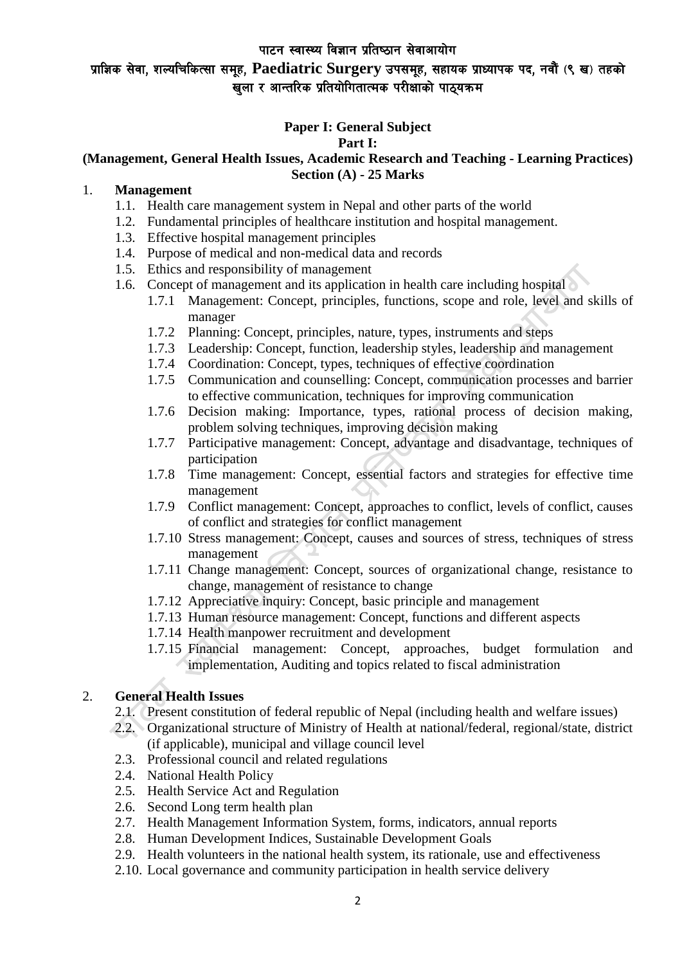# प्राज्ञिक सेवा, शल्यचिकित्सा समूह, Paediatric Surgery उपसमूह, सहायक प्राध्यापक पद, नवौं (९ ख) तहको ्.<br>खला र आन्तरिक प्रतियोगितात्मक परीक्षाको पाठयक्रम

# **Paper I: General Subject**

# **Part I:**

#### **(Management, General Health Issues, Academic Research and Teaching - Learning Practices) Section (A) - 25 Marks**

#### 1. **Management**

- 1.1. Health care management system in Nepal and other parts of the world
- 1.2. Fundamental principles of healthcare institution and hospital management.
- 1.3. Effective hospital management principles
- 1.4. Purpose of medical and non-medical data and records
- 1.5. Ethics and responsibility of management
- 1.6. Concept of management and its application in health care including hospital
	- 1.7.1 Management: Concept, principles, functions, scope and role, level and skills of manager
	- 1.7.2 Planning: Concept, principles, nature, types, instruments and steps
	- 1.7.3 Leadership: Concept, function, leadership styles, leadership and management
	- 1.7.4 Coordination: Concept, types, techniques of effective coordination
	- 1.7.5 Communication and counselling: Concept, communication processes and barrier to effective communication, techniques for improving communication
	- 1.7.6 Decision making: Importance, types, rational process of decision making, problem solving techniques, improving decision making
	- 1.7.7 Participative management: Concept, advantage and disadvantage, techniques of participation
	- 1.7.8 Time management: Concept, essential factors and strategies for effective time management
	- 1.7.9 Conflict management: Concept, approaches to conflict, levels of conflict, causes of conflict and strategies for conflict management
	- 1.7.10 Stress management: Concept, causes and sources of stress, techniques of stress management
	- 1.7.11 Change management: Concept, sources of organizational change, resistance to change, management of resistance to change
	- 1.7.12 Appreciative inquiry: Concept, basic principle and management
	- 1.7.13 Human resource management: Concept, functions and different aspects
	- 1.7.14 Health manpower recruitment and development
	- 1.7.15 Financial management: Concept, approaches, budget formulation and implementation, Auditing and topics related to fiscal administration

# 2. **General Health Issues**

- 2.1. Present constitution of federal republic of Nepal (including health and welfare issues)
- 2.2. Organizational structure of Ministry of Health at national/federal, regional/state, district (if applicable), municipal and village council level
- 2.3. Professional council and related regulations
- 2.4. National Health Policy
- 2.5. Health Service Act and Regulation
- 2.6. Second Long term health plan
- 2.7. Health Management Information System, forms, indicators, annual reports
- 2.8. Human Development Indices, Sustainable Development Goals
- 2.9. Health volunteers in the national health system, its rationale, use and effectiveness
- 2.10. Local governance and community participation in health service delivery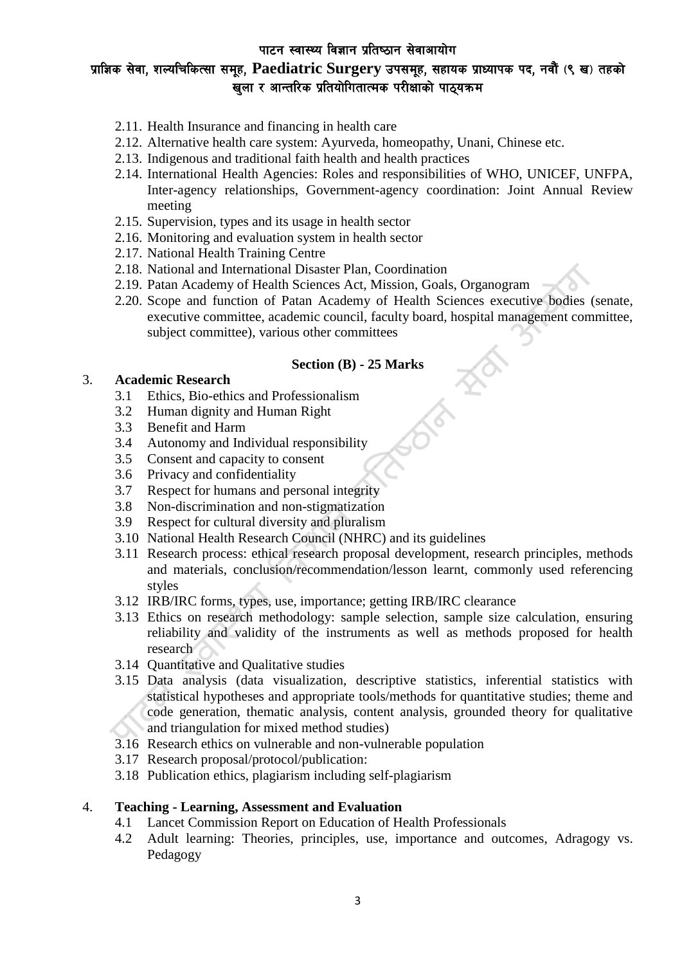# प्राज्ञिक सेवा, शल्यचिकित्सा समूह, Paediatric Surgery उपसमूह, सहायक प्राध्यापक पद, नवौं (९ ख) तहको ...<br>खुला र आन्तरिक प्रतियोगितात्मक परीक्षाको पाठ्यक्रम

- 2.11. Health Insurance and financing in health care
- 2.12. Alternative health care system: Ayurveda, homeopathy, Unani, Chinese etc.
- 2.13. Indigenous and traditional faith health and health practices
- 2.14. International Health Agencies: Roles and responsibilities of WHO, UNICEF, UNFPA, Inter-agency relationships, Government-agency coordination: Joint Annual Review meeting
- 2.15. Supervision, types and its usage in health sector
- 2.16. Monitoring and evaluation system in health sector
- 2.17. National Health Training Centre
- 2.18. National and International Disaster Plan, Coordination
- 2.19. Patan Academy of Health Sciences Act, Mission, Goals, Organogram
- 2.20. Scope and function of Patan Academy of Health Sciences executive bodies (senate, executive committee, academic council, faculty board, hospital management committee, subject committee), various other committees

### **Section (B) - 25 Marks**

#### 3. **Academic Research**

- 3.1 Ethics, Bio-ethics and Professionalism
- 3.2 Human dignity and Human Right
- 3.3 Benefit and Harm
- 3.4 Autonomy and Individual responsibility
- 3.5 Consent and capacity to consent
- 3.6 Privacy and confidentiality
- 3.7 Respect for humans and personal integrity
- 3.8 Non-discrimination and non-stigmatization
- 3.9 Respect for cultural diversity and pluralism
- 3.10 National Health Research Council (NHRC) and its guidelines
- 3.11 Research process: ethical research proposal development, research principles, methods and materials, conclusion/recommendation/lesson learnt, commonly used referencing styles
- 3.12 IRB/IRC forms, types, use, importance; getting IRB/IRC clearance
- 3.13 Ethics on research methodology: sample selection, sample size calculation, ensuring reliability and validity of the instruments as well as methods proposed for health research
- 3.14 Quantitative and Qualitative studies
- 3.15 Data analysis (data visualization, descriptive statistics, inferential statistics with statistical hypotheses and appropriate tools/methods for quantitative studies; theme and code generation, thematic analysis, content analysis, grounded theory for qualitative and triangulation for mixed method studies)
- 3.16 Research ethics on vulnerable and non-vulnerable population
- 3.17 Research proposal/protocol/publication:
- 3.18 Publication ethics, plagiarism including self-plagiarism

#### 4. **Teaching - Learning, Assessment and Evaluation**

- 4.1 Lancet Commission Report on Education of Health Professionals
- 4.2 Adult learning: Theories, principles, use, importance and outcomes, Adragogy vs. Pedagogy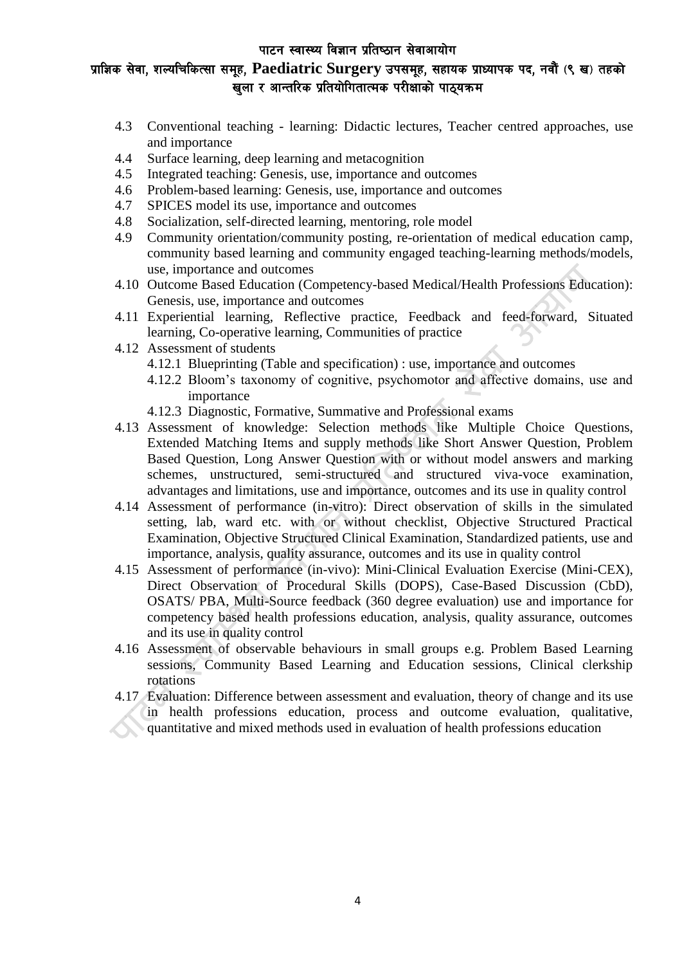# प्राज्ञिक सेवा, शल्यचिकित्सा समूह, Paediatric Surgery उपसमूह, सहायक प्राध्यापक पद, नवौं (९ ख) तहको ्.<br>खला र आन्तरिक प्रतियोगितात्मक परीक्षाको पाठयक्रम

- 4.3 Conventional teaching learning: Didactic lectures, Teacher centred approaches, use and importance
- 4.4 Surface learning, deep learning and metacognition
- 4.5 Integrated teaching: Genesis, use, importance and outcomes
- 4.6 Problem-based learning: Genesis, use, importance and outcomes
- 4.7 SPICES model its use, importance and outcomes
- 4.8 Socialization, self-directed learning, mentoring, role model
- 4.9 Community orientation/community posting, re-orientation of medical education camp, community based learning and community engaged teaching-learning methods/models, use, importance and outcomes
- 4.10 Outcome Based Education (Competency-based Medical/Health Professions Education): Genesis, use, importance and outcomes
- 4.11 Experiential learning, Reflective practice, Feedback and feed-forward, Situated learning, Co-operative learning, Communities of practice
- 4.12 Assessment of students
	- 4.12.1 Blueprinting (Table and specification) : use, importance and outcomes
	- 4.12.2 Bloom's taxonomy of cognitive, psychomotor and affective domains, use and importance
	- 4.12.3 Diagnostic, Formative, Summative and Professional exams
- 4.13 Assessment of knowledge: Selection methods like Multiple Choice Questions, Extended Matching Items and supply methods like Short Answer Question, Problem Based Question, Long Answer Question with or without model answers and marking schemes, unstructured, semi-structured and structured viva-voce examination, advantages and limitations, use and importance, outcomes and its use in quality control
- 4.14 Assessment of performance (in-vitro): Direct observation of skills in the simulated setting, lab, ward etc. with or without checklist, Objective Structured Practical Examination, Objective Structured Clinical Examination, Standardized patients, use and importance, analysis, quality assurance, outcomes and its use in quality control
- 4.15 Assessment of performance (in-vivo): Mini-Clinical Evaluation Exercise (Mini-CEX), Direct Observation of Procedural Skills (DOPS), Case-Based Discussion (CbD), OSATS/ PBA, Multi-Source feedback (360 degree evaluation) use and importance for competency based health professions education, analysis, quality assurance, outcomes and its use in quality control
- 4.16 Assessment of observable behaviours in small groups e.g. Problem Based Learning sessions, Community Based Learning and Education sessions, Clinical clerkship rotations
- 4.17 Evaluation: Difference between assessment and evaluation, theory of change and its use in health professions education, process and outcome evaluation, qualitative, quantitative and mixed methods used in evaluation of health professions education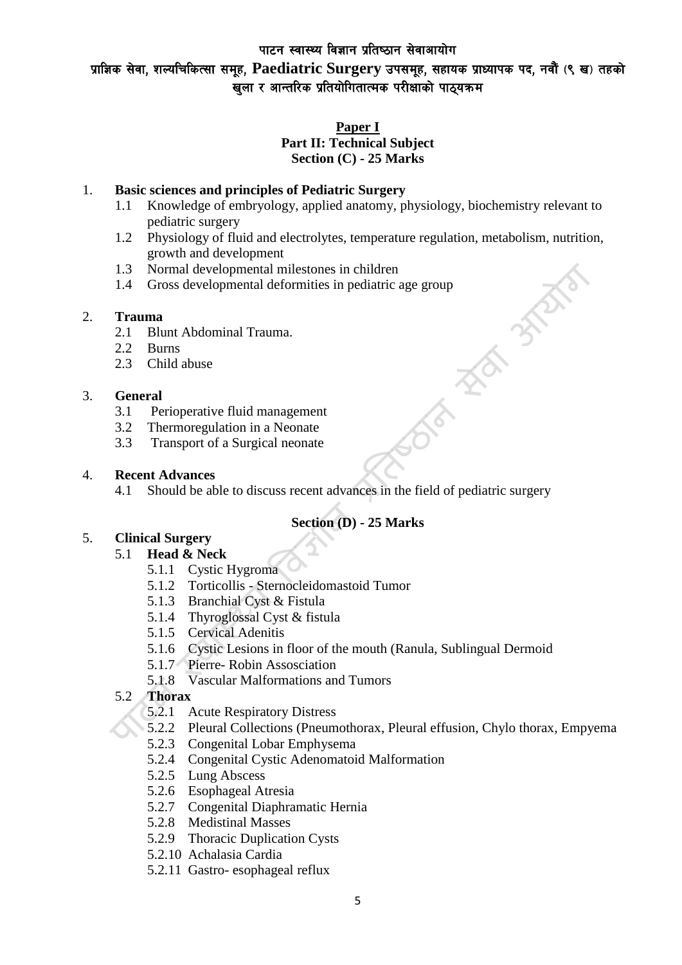# प्राज्ञिक सेवा, शल्यचिकित्सा समूह, Paediatric Surgery उपसमूह, सहायक प्राध्यापक पद, नवौं (९ ख) तहको ्.<br>खला र आन्तरिक प्रतियोगितात्मक परीक्षाको पाठयक्रम

# **Paper I Part II: Technical Subject Section (C) - 25 Marks**

# 1. **Basic sciences and principles of Pediatric Surgery**

- 1.1 Knowledge of embryology, applied anatomy, physiology, biochemistry relevant to pediatric surgery
- 1.2 Physiology of fluid and electrolytes, temperature regulation, metabolism, nutrition, growth and development
- 1.3 Normal developmental milestones in children
- 1.4 Gross developmental deformities in pediatric age group<br> **Trauma**<br>
2.1 Blunt Abdominal Trauma.<br>
2.2 Burns<br>
2.3 Child abuse<br> **General**<br>
3.1 Perioperative fluid:

# 2. **Trauma**

- 2.1 Blunt Abdominal Trauma.
- 2.2 Burns
- 2.3 Child abuse

# 3. **General**

- 3.1 Perioperative fluid management
- 3.2 Thermoregulation in a Neonate
- 3.3 Transport of a Surgical neonate

### 4. **Recent Advances**

4.1 Should be able to discuss recent advances in the field of pediatric surgery

# **Section (D) - 25 Marks**

### 5. **Clinical Surgery**

### 5.1 **Head & Neck**

- 5.1.1 Cystic Hygroma
- 5.1.2 Torticollis Sternocleidomastoid Tumor
- 5.1.3 Branchial Cyst & Fistula
- 5.1.4 Thyroglossal Cyst & fistula
- 5.1.5 Cervical Adenitis
- 5.1.6 Cystic Lesions in floor of the mouth (Ranula, Sublingual Dermoid
- 5.1.7 Pierre- Robin Assosciation
- 5.1.8 Vascular Malformations and Tumors

# 5.2 **Thorax**

- 5.2.1 Acute Respiratory Distress
- 5.2.2 Pleural Collections (Pneumothorax, Pleural effusion, Chylo thorax, Empyema
- 5.2.3 Congenital Lobar Emphysema
- 5.2.4 Congenital Cystic Adenomatoid Malformation
- 5.2.5 Lung Abscess
- 5.2.6 Esophageal Atresia
- 5.2.7 Congenital Diaphramatic Hernia
- 5.2.8 Medistinal Masses
- 5.2.9 Thoracic Duplication Cysts
- 5.2.10 Achalasia Cardia
- 5.2.11 Gastro- esophageal reflux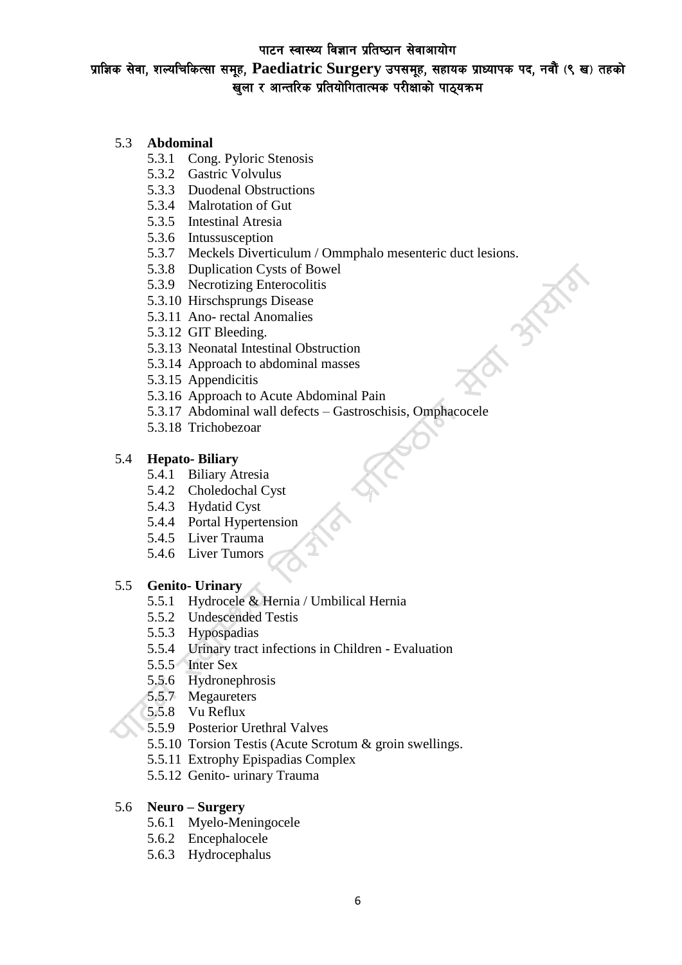प्राज्ञिक सेवा, शल्यचिकित्सा समूह, Paediatric Surgery उपसमूह, सहायक प्राध्यापक पद, नवौं (९ ख) तहको .<br>खुला र आन्तरिक प्रतियोगितात्मक परीक्षाको पाठ्यक्रम

# 5.3 **Abdominal**

- 5.3.1 Cong. Pyloric Stenosis
- 5.3.2 Gastric Volvulus
- 5.3.3 Duodenal Obstructions
- 5.3.4 Malrotation of Gut
- 5.3.5 Intestinal Atresia
- 5.3.6 Intussusception
- 5.3.7 Meckels Diverticulum / Ommphalo mesenteric duct lesions.

**BANK®** 

- 5.3.8 Duplication Cysts of Bowel
- 5.3.9 Necrotizing Enterocolitis
- 5.3.10 Hirschsprungs Disease
- 5.3.11 Ano- rectal Anomalies
- 5.3.12 GIT Bleeding.
- 5.3.13 Neonatal Intestinal Obstruction
- 5.3.14 Approach to abdominal masses
- 5.3.15 Appendicitis
- 5.3.16 Approach to Acute Abdominal Pain
- 5.3.17 Abdominal wall defects Gastroschisis, Omphacocele
- 5.3.18 Trichobezoar

#### 5.4 **Hepato- Biliary**

- 5.4.1 Biliary Atresia
- 5.4.2 Choledochal Cyst
- 5.4.3 Hydatid Cyst
- 5.4.4 Portal Hypertension
- 5.4.5 Liver Trauma
- 5.4.6 Liver Tumors

### 5.5 **Genito- Urinary**

- 5.5.1 Hydrocele & Hernia / Umbilical Hernia
- 5.5.2 Undescended Testis
- 5.5.3 Hypospadias
- 5.5.4 Urinary tract infections in Children Evaluation
- 5.5.5 Inter Sex
- 5.5.6 Hydronephrosis
- 5.5.7 Megaureters
- 5.5.8 Vu Reflux
- 5.5.9 Posterior Urethral Valves
- 5.5.10 Torsion Testis (Acute Scrotum & groin swellings.
- 5.5.11 Extrophy Epispadias Complex
- 5.5.12 Genito- urinary Trauma

#### 5.6 **Neuro – Surgery**

- 5.6.1 Myelo-Meningocele
- 5.6.2 Encephalocele
- 5.6.3 Hydrocephalus